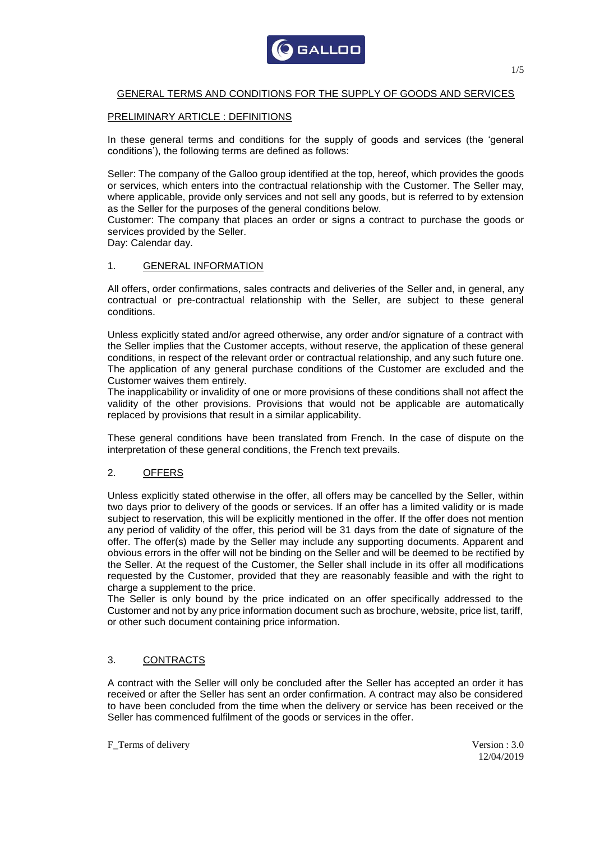

# GENERAL TERMS AND CONDITIONS FOR THE SUPPLY OF GOODS AND SERVICES

### PRELIMINARY ARTICLE : DEFINITIONS

In these general terms and conditions for the supply of goods and services (the 'general conditions'), the following terms are defined as follows:

Seller: The company of the Galloo group identified at the top, hereof, which provides the goods or services, which enters into the contractual relationship with the Customer. The Seller may, where applicable, provide only services and not sell any goods, but is referred to by extension as the Seller for the purposes of the general conditions below.

Customer: The company that places an order or signs a contract to purchase the goods or services provided by the Seller.

Day: Calendar day.

#### 1. GENERAL INFORMATION

All offers, order confirmations, sales contracts and deliveries of the Seller and, in general, any contractual or pre-contractual relationship with the Seller, are subject to these general conditions.

Unless explicitly stated and/or agreed otherwise, any order and/or signature of a contract with the Seller implies that the Customer accepts, without reserve, the application of these general conditions, in respect of the relevant order or contractual relationship, and any such future one. The application of any general purchase conditions of the Customer are excluded and the Customer waives them entirely.

The inapplicability or invalidity of one or more provisions of these conditions shall not affect the validity of the other provisions. Provisions that would not be applicable are automatically replaced by provisions that result in a similar applicability.

These general conditions have been translated from French. In the case of dispute on the interpretation of these general conditions, the French text prevails.

## 2. OFFERS

Unless explicitly stated otherwise in the offer, all offers may be cancelled by the Seller, within two days prior to delivery of the goods or services. If an offer has a limited validity or is made subject to reservation, this will be explicitly mentioned in the offer. If the offer does not mention any period of validity of the offer, this period will be 31 days from the date of signature of the offer. The offer(s) made by the Seller may include any supporting documents. Apparent and obvious errors in the offer will not be binding on the Seller and will be deemed to be rectified by the Seller. At the request of the Customer, the Seller shall include in its offer all modifications requested by the Customer, provided that they are reasonably feasible and with the right to charge a supplement to the price.

The Seller is only bound by the price indicated on an offer specifically addressed to the Customer and not by any price information document such as brochure, website, price list, tariff, or other such document containing price information.

## 3. CONTRACTS

A contract with the Seller will only be concluded after the Seller has accepted an order it has received or after the Seller has sent an order confirmation. A contract may also be considered to have been concluded from the time when the delivery or service has been received or the Seller has commenced fulfilment of the goods or services in the offer.

F\_Terms of delivery Version : 3.0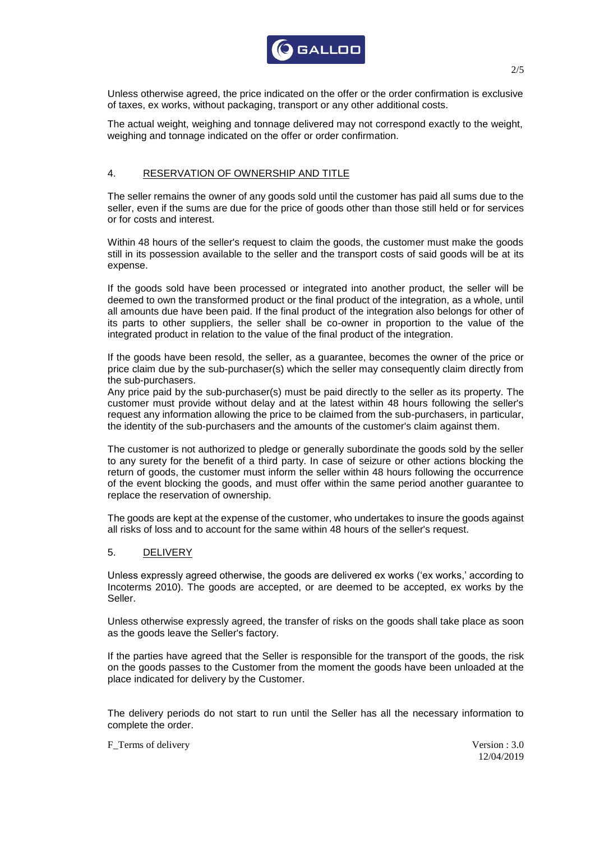

Unless otherwise agreed, the price indicated on the offer or the order confirmation is exclusive of taxes, ex works, without packaging, transport or any other additional costs.

The actual weight, weighing and tonnage delivered may not correspond exactly to the weight, weighing and tonnage indicated on the offer or order confirmation.

## 4. RESERVATION OF OWNERSHIP AND TITLE

The seller remains the owner of any goods sold until the customer has paid all sums due to the seller, even if the sums are due for the price of goods other than those still held or for services or for costs and interest.

Within 48 hours of the seller's request to claim the goods, the customer must make the goods still in its possession available to the seller and the transport costs of said goods will be at its expense.

If the goods sold have been processed or integrated into another product, the seller will be deemed to own the transformed product or the final product of the integration, as a whole, until all amounts due have been paid. If the final product of the integration also belongs for other of its parts to other suppliers, the seller shall be co-owner in proportion to the value of the integrated product in relation to the value of the final product of the integration.

If the goods have been resold, the seller, as a guarantee, becomes the owner of the price or price claim due by the sub-purchaser(s) which the seller may consequently claim directly from the sub-purchasers.

Any price paid by the sub-purchaser(s) must be paid directly to the seller as its property. The customer must provide without delay and at the latest within 48 hours following the seller's request any information allowing the price to be claimed from the sub-purchasers, in particular, the identity of the sub-purchasers and the amounts of the customer's claim against them.

The customer is not authorized to pledge or generally subordinate the goods sold by the seller to any surety for the benefit of a third party. In case of seizure or other actions blocking the return of goods, the customer must inform the seller within 48 hours following the occurrence of the event blocking the goods, and must offer within the same period another guarantee to replace the reservation of ownership.

The goods are kept at the expense of the customer, who undertakes to insure the goods against all risks of loss and to account for the same within 48 hours of the seller's request.

#### 5. DELIVERY

Unless expressly agreed otherwise, the goods are delivered ex works ('ex works,' according to Incoterms 2010). The goods are accepted, or are deemed to be accepted, ex works by the Seller.

Unless otherwise expressly agreed, the transfer of risks on the goods shall take place as soon as the goods leave the Seller's factory.

If the parties have agreed that the Seller is responsible for the transport of the goods, the risk on the goods passes to the Customer from the moment the goods have been unloaded at the place indicated for delivery by the Customer.

The delivery periods do not start to run until the Seller has all the necessary information to complete the order.

F\_Terms of delivery Version : 3.0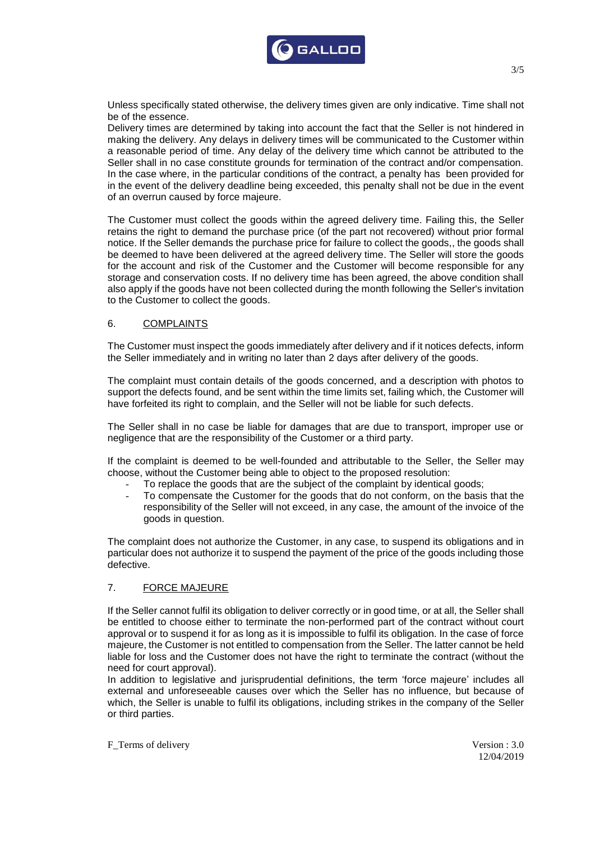

Unless specifically stated otherwise, the delivery times given are only indicative. Time shall not be of the essence.

Delivery times are determined by taking into account the fact that the Seller is not hindered in making the delivery. Any delays in delivery times will be communicated to the Customer within a reasonable period of time. Any delay of the delivery time which cannot be attributed to the Seller shall in no case constitute grounds for termination of the contract and/or compensation. In the case where, in the particular conditions of the contract, a penalty has been provided for in the event of the delivery deadline being exceeded, this penalty shall not be due in the event of an overrun caused by force majeure.

The Customer must collect the goods within the agreed delivery time. Failing this, the Seller retains the right to demand the purchase price (of the part not recovered) without prior formal notice. If the Seller demands the purchase price for failure to collect the goods,, the goods shall be deemed to have been delivered at the agreed delivery time. The Seller will store the goods for the account and risk of the Customer and the Customer will become responsible for any storage and conservation costs. If no delivery time has been agreed, the above condition shall also apply if the goods have not been collected during the month following the Seller's invitation to the Customer to collect the goods.

### 6. COMPLAINTS

The Customer must inspect the goods immediately after delivery and if it notices defects, inform the Seller immediately and in writing no later than 2 days after delivery of the goods.

The complaint must contain details of the goods concerned, and a description with photos to support the defects found, and be sent within the time limits set, failing which, the Customer will have forfeited its right to complain, and the Seller will not be liable for such defects.

The Seller shall in no case be liable for damages that are due to transport, improper use or negligence that are the responsibility of the Customer or a third party.

If the complaint is deemed to be well-founded and attributable to the Seller, the Seller may choose, without the Customer being able to object to the proposed resolution:

- To replace the goods that are the subject of the complaint by identical goods;
- To compensate the Customer for the goods that do not conform, on the basis that the responsibility of the Seller will not exceed, in any case, the amount of the invoice of the goods in question.

The complaint does not authorize the Customer, in any case, to suspend its obligations and in particular does not authorize it to suspend the payment of the price of the goods including those defective.

## 7. FORCE MAJEURE

If the Seller cannot fulfil its obligation to deliver correctly or in good time, or at all, the Seller shall be entitled to choose either to terminate the non-performed part of the contract without court approval or to suspend it for as long as it is impossible to fulfil its obligation. In the case of force majeure, the Customer is not entitled to compensation from the Seller. The latter cannot be held liable for loss and the Customer does not have the right to terminate the contract (without the need for court approval).

In addition to legislative and jurisprudential definitions, the term 'force majeure' includes all external and unforeseeable causes over which the Seller has no influence, but because of which, the Seller is unable to fulfil its obligations, including strikes in the company of the Seller or third parties.

F\_Terms of delivery Version : 3.0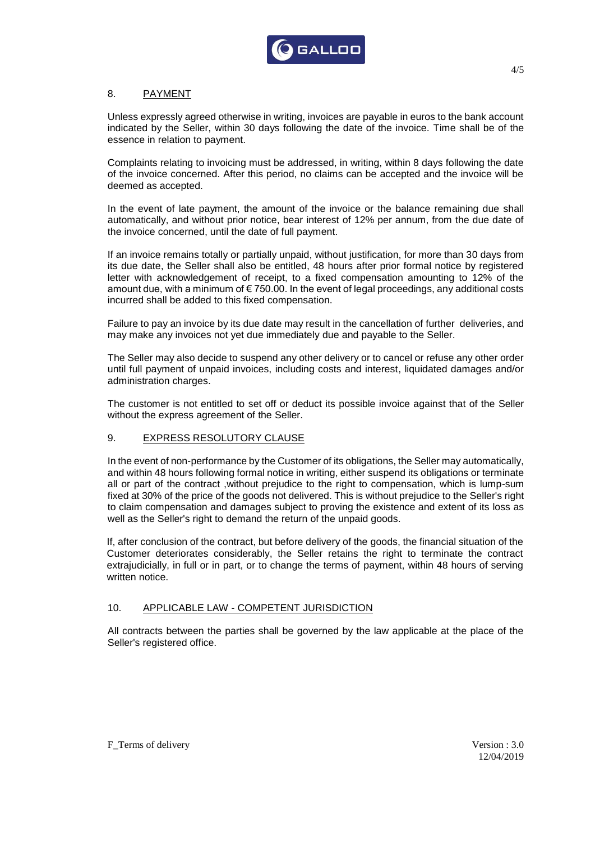

# 8. PAYMENT

Unless expressly agreed otherwise in writing, invoices are payable in euros to the bank account indicated by the Seller, within 30 days following the date of the invoice. Time shall be of the essence in relation to payment.

Complaints relating to invoicing must be addressed, in writing, within 8 days following the date of the invoice concerned. After this period, no claims can be accepted and the invoice will be deemed as accepted.

In the event of late payment, the amount of the invoice or the balance remaining due shall automatically, and without prior notice, bear interest of 12% per annum, from the due date of the invoice concerned, until the date of full payment.

If an invoice remains totally or partially unpaid, without justification, for more than 30 days from its due date, the Seller shall also be entitled, 48 hours after prior formal notice by registered letter with acknowledgement of receipt, to a fixed compensation amounting to 12% of the amount due, with a minimum of  $\epsilon$  750.00. In the event of legal proceedings, any additional costs incurred shall be added to this fixed compensation.

Failure to pay an invoice by its due date may result in the cancellation of further deliveries, and may make any invoices not yet due immediately due and payable to the Seller.

The Seller may also decide to suspend any other delivery or to cancel or refuse any other order until full payment of unpaid invoices, including costs and interest, liquidated damages and/or administration charges.

The customer is not entitled to set off or deduct its possible invoice against that of the Seller without the express agreement of the Seller.

## 9. EXPRESS RESOLUTORY CLAUSE

In the event of non-performance by the Customer of its obligations, the Seller may automatically, and within 48 hours following formal notice in writing, either suspend its obligations or terminate all or part of the contract ,without prejudice to the right to compensation, which is lump-sum fixed at 30% of the price of the goods not delivered. This is without prejudice to the Seller's right to claim compensation and damages subject to proving the existence and extent of its loss as well as the Seller's right to demand the return of the unpaid goods.

If, after conclusion of the contract, but before delivery of the goods, the financial situation of the Customer deteriorates considerably, the Seller retains the right to terminate the contract extrajudicially, in full or in part, or to change the terms of payment, within 48 hours of serving written notice.

#### 10. APPLICABLE LAW - COMPETENT JURISDICTION

All contracts between the parties shall be governed by the law applicable at the place of the Seller's registered office.